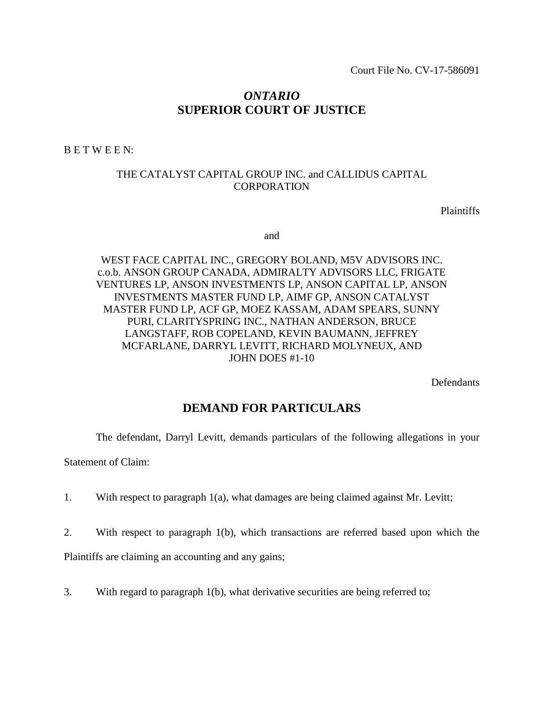# *ONTARIO* **SUPERIOR COURT OF JUSTICE**

B E T W E E N:

### THE CATALYST CAPITAL GROUP INC. and CALLIDUS CAPITAL **CORPORATION**

Plaintiffs

and

WEST FACE CAPITAL INC., GREGORY BOLAND, M5V ADVISORS INC. c.o.b. ANSON GROUP CANADA, ADMIRALTY ADVISORS LLC, FRIGATE VENTURES LP, ANSON INVESTMENTS LP, ANSON CAPITAL LP, ANSON INVESTMENTS MASTER FUND LP, AIMF GP, ANSON CATALYST MASTER FUND LP, ACF GP, MOEZ KASSAM, ADAM SPEARS, SUNNY PURI, CLARITYSPRING INC., NATHAN ANDERSON, BRUCE LANGSTAFF, ROB COPELAND, KEVIN BAUMANN, JEFFREY MCFARLANE, DARRYL LEVITT, RICHARD MOLYNEUX, AND JOHN DOES #1-10

**Defendants** 

# **DEMAND FOR PARTICULARS**

The defendant, Darryl Levitt, demands particulars of the following allegations in your

Statement of Claim:

- 1. With respect to paragraph 1(a), what damages are being claimed against Mr. Levitt;
- 2. With respect to paragraph 1(b), which transactions are referred based upon which the

Plaintiffs are claiming an accounting and any gains;

3. With regard to paragraph 1(b), what derivative securities are being referred to;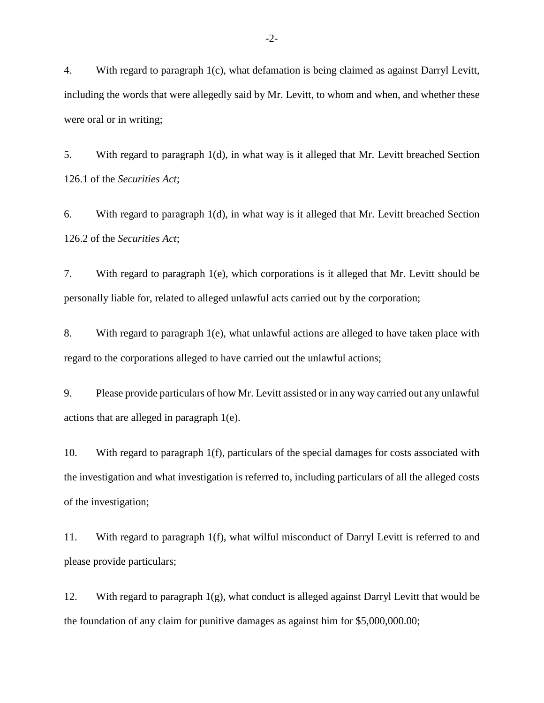4. With regard to paragraph 1(c), what defamation is being claimed as against Darryl Levitt, including the words that were allegedly said by Mr. Levitt, to whom and when, and whether these were oral or in writing;

5. With regard to paragraph 1(d), in what way is it alleged that Mr. Levitt breached Section 126.1 of the *Securities Act*;

6. With regard to paragraph 1(d), in what way is it alleged that Mr. Levitt breached Section 126.2 of the *Securities Act*;

7. With regard to paragraph 1(e), which corporations is it alleged that Mr. Levitt should be personally liable for, related to alleged unlawful acts carried out by the corporation;

8. With regard to paragraph 1(e), what unlawful actions are alleged to have taken place with regard to the corporations alleged to have carried out the unlawful actions;

9. Please provide particulars of how Mr. Levitt assisted or in any way carried out any unlawful actions that are alleged in paragraph 1(e).

10. With regard to paragraph 1(f), particulars of the special damages for costs associated with the investigation and what investigation is referred to, including particulars of all the alleged costs of the investigation;

11. With regard to paragraph 1(f), what wilful misconduct of Darryl Levitt is referred to and please provide particulars;

12. With regard to paragraph  $1(g)$ , what conduct is alleged against Darryl Levitt that would be the foundation of any claim for punitive damages as against him for \$5,000,000.00;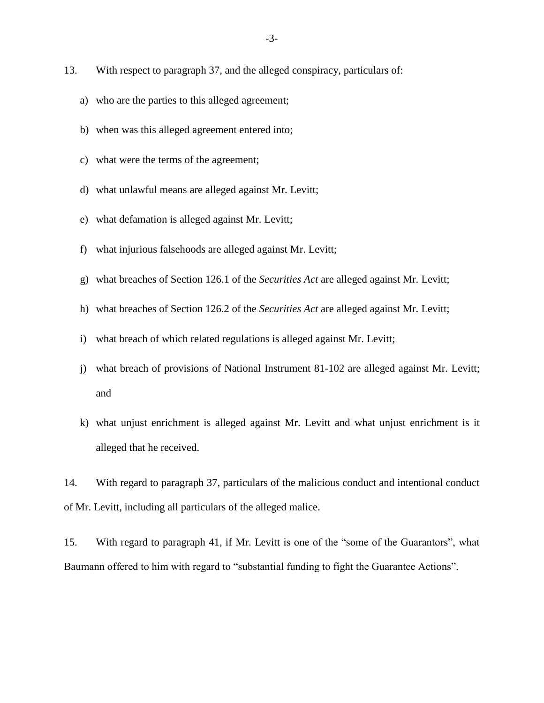- 13. With respect to paragraph 37, and the alleged conspiracy, particulars of:
	- a) who are the parties to this alleged agreement;
	- b) when was this alleged agreement entered into;
	- c) what were the terms of the agreement;
	- d) what unlawful means are alleged against Mr. Levitt;
	- e) what defamation is alleged against Mr. Levitt;
	- f) what injurious falsehoods are alleged against Mr. Levitt;
	- g) what breaches of Section 126.1 of the *Securities Act* are alleged against Mr. Levitt;
	- h) what breaches of Section 126.2 of the *Securities Act* are alleged against Mr. Levitt;
	- i) what breach of which related regulations is alleged against Mr. Levitt;
	- j) what breach of provisions of National Instrument 81-102 are alleged against Mr. Levitt; and
	- k) what unjust enrichment is alleged against Mr. Levitt and what unjust enrichment is it alleged that he received.

14. With regard to paragraph 37, particulars of the malicious conduct and intentional conduct of Mr. Levitt, including all particulars of the alleged malice.

15. With regard to paragraph 41, if Mr. Levitt is one of the "some of the Guarantors", what Baumann offered to him with regard to "substantial funding to fight the Guarantee Actions".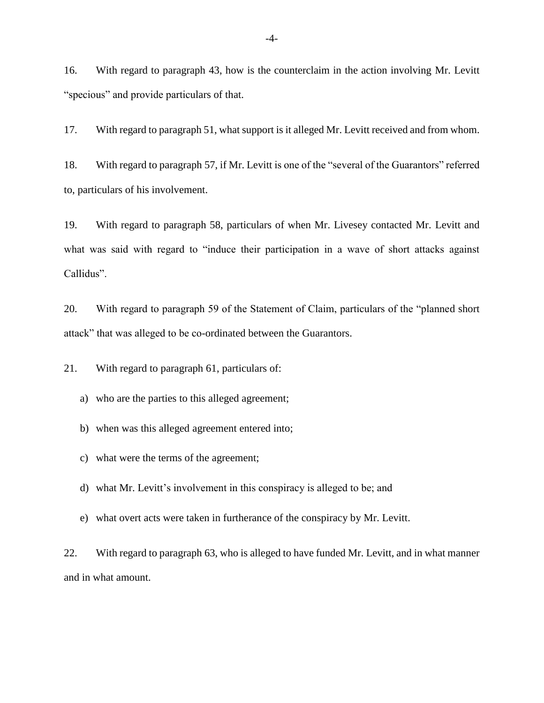16. With regard to paragraph 43, how is the counterclaim in the action involving Mr. Levitt "specious" and provide particulars of that.

17. With regard to paragraph 51, what support is it alleged Mr. Levitt received and from whom.

18. With regard to paragraph 57, if Mr. Levitt is one of the "several of the Guarantors" referred to, particulars of his involvement.

19. With regard to paragraph 58, particulars of when Mr. Livesey contacted Mr. Levitt and what was said with regard to "induce their participation in a wave of short attacks against Callidus".

20. With regard to paragraph 59 of the Statement of Claim, particulars of the "planned short attack" that was alleged to be co-ordinated between the Guarantors.

21. With regard to paragraph 61, particulars of:

- a) who are the parties to this alleged agreement;
- b) when was this alleged agreement entered into;
- c) what were the terms of the agreement;
- d) what Mr. Levitt's involvement in this conspiracy is alleged to be; and
- e) what overt acts were taken in furtherance of the conspiracy by Mr. Levitt.

22. With regard to paragraph 63, who is alleged to have funded Mr. Levitt, and in what manner and in what amount.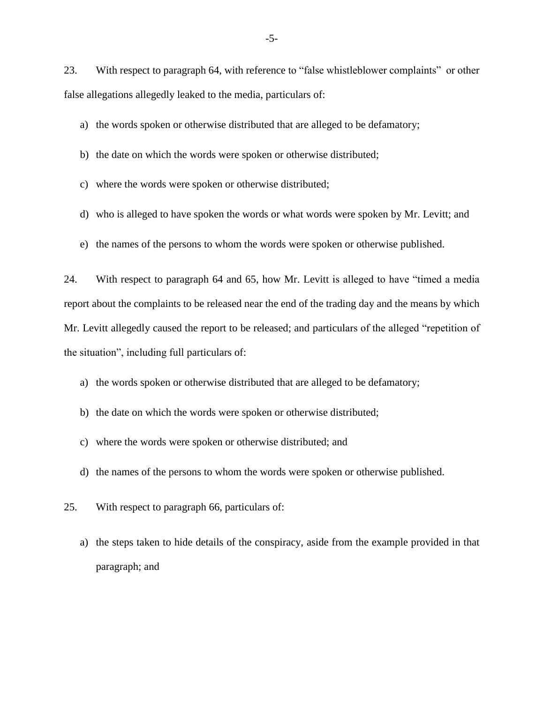23. With respect to paragraph 64, with reference to "false whistleblower complaints" or other false allegations allegedly leaked to the media, particulars of:

a) the words spoken or otherwise distributed that are alleged to be defamatory;

b) the date on which the words were spoken or otherwise distributed;

c) where the words were spoken or otherwise distributed;

- d) who is alleged to have spoken the words or what words were spoken by Mr. Levitt; and
- e) the names of the persons to whom the words were spoken or otherwise published.

24. With respect to paragraph 64 and 65, how Mr. Levitt is alleged to have "timed a media report about the complaints to be released near the end of the trading day and the means by which Mr. Levitt allegedly caused the report to be released; and particulars of the alleged "repetition of the situation", including full particulars of:

a) the words spoken or otherwise distributed that are alleged to be defamatory;

- b) the date on which the words were spoken or otherwise distributed;
- c) where the words were spoken or otherwise distributed; and
- d) the names of the persons to whom the words were spoken or otherwise published.
- 25. With respect to paragraph 66, particulars of:
	- a) the steps taken to hide details of the conspiracy, aside from the example provided in that paragraph; and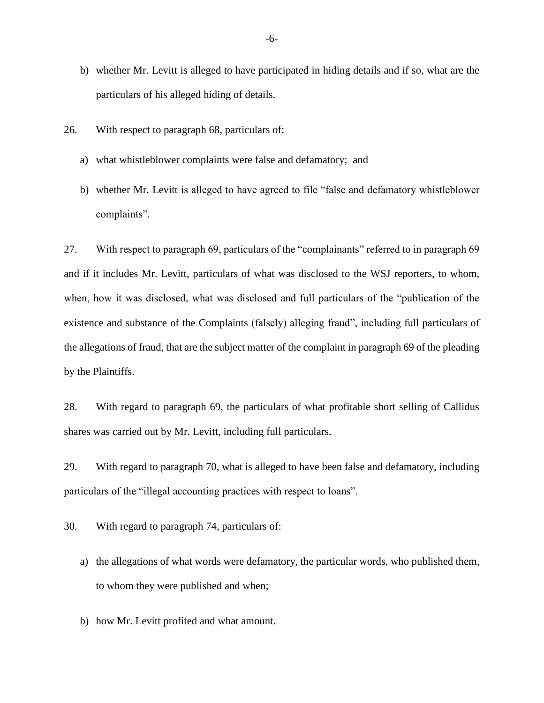- b) whether Mr. Levitt is alleged to have participated in hiding details and if so, what are the particulars of his alleged hiding of details.
- 26. With respect to paragraph 68, particulars of:
	- a) what whistleblower complaints were false and defamatory; and
	- b) whether Mr. Levitt is alleged to have agreed to file "false and defamatory whistleblower complaints".

27. With respect to paragraph 69, particulars of the "complainants" referred to in paragraph 69 and if it includes Mr. Levitt, particulars of what was disclosed to the WSJ reporters, to whom, when, how it was disclosed, what was disclosed and full particulars of the "publication of the existence and substance of the Complaints (falsely) alleging fraud", including full particulars of the allegations of fraud, that are the subject matter of the complaint in paragraph 69 of the pleading by the Plaintiffs.

28. With regard to paragraph 69, the particulars of what profitable short selling of Callidus shares was carried out by Mr. Levitt, including full particulars.

29. With regard to paragraph 70, what is alleged to have been false and defamatory, including particulars of the "illegal accounting practices with respect to loans".

30. With regard to paragraph 74, particulars of:

- a) the allegations of what words were defamatory, the particular words, who published them, to whom they were published and when;
- b) how Mr. Levitt profited and what amount.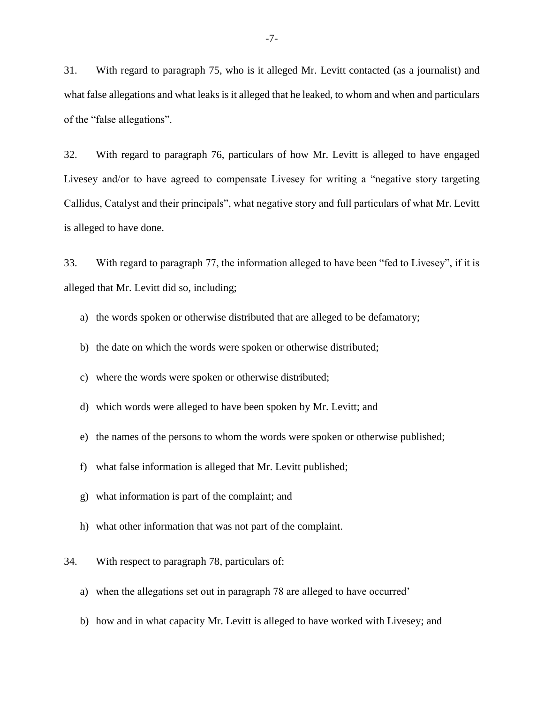31. With regard to paragraph 75, who is it alleged Mr. Levitt contacted (as a journalist) and what false allegations and what leaks is it alleged that he leaked, to whom and when and particulars of the "false allegations".

32. With regard to paragraph 76, particulars of how Mr. Levitt is alleged to have engaged Livesey and/or to have agreed to compensate Livesey for writing a "negative story targeting Callidus, Catalyst and their principals", what negative story and full particulars of what Mr. Levitt is alleged to have done.

33. With regard to paragraph 77, the information alleged to have been "fed to Livesey", if it is alleged that Mr. Levitt did so, including;

- a) the words spoken or otherwise distributed that are alleged to be defamatory;
- b) the date on which the words were spoken or otherwise distributed;
- c) where the words were spoken or otherwise distributed;
- d) which words were alleged to have been spoken by Mr. Levitt; and
- e) the names of the persons to whom the words were spoken or otherwise published;
- f) what false information is alleged that Mr. Levitt published;
- g) what information is part of the complaint; and
- h) what other information that was not part of the complaint.
- 34. With respect to paragraph 78, particulars of:
	- a) when the allegations set out in paragraph 78 are alleged to have occurred'
	- b) how and in what capacity Mr. Levitt is alleged to have worked with Livesey; and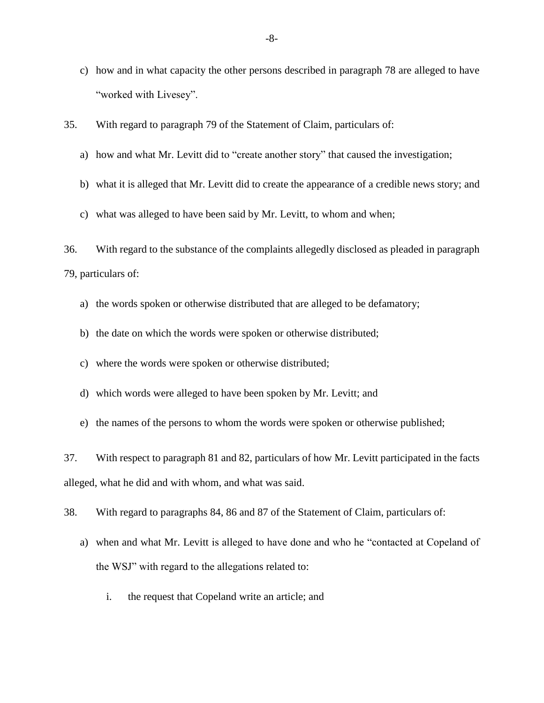- c) how and in what capacity the other persons described in paragraph 78 are alleged to have "worked with Livesey".
- 35. With regard to paragraph 79 of the Statement of Claim, particulars of:
	- a) how and what Mr. Levitt did to "create another story" that caused the investigation;
	- b) what it is alleged that Mr. Levitt did to create the appearance of a credible news story; and
	- c) what was alleged to have been said by Mr. Levitt, to whom and when;

36. With regard to the substance of the complaints allegedly disclosed as pleaded in paragraph 79, particulars of:

- a) the words spoken or otherwise distributed that are alleged to be defamatory;
- b) the date on which the words were spoken or otherwise distributed;
- c) where the words were spoken or otherwise distributed;
- d) which words were alleged to have been spoken by Mr. Levitt; and
- e) the names of the persons to whom the words were spoken or otherwise published;

37. With respect to paragraph 81 and 82, particulars of how Mr. Levitt participated in the facts alleged, what he did and with whom, and what was said.

38. With regard to paragraphs 84, 86 and 87 of the Statement of Claim, particulars of:

- a) when and what Mr. Levitt is alleged to have done and who he "contacted at Copeland of the WSJ" with regard to the allegations related to:
	- i. the request that Copeland write an article; and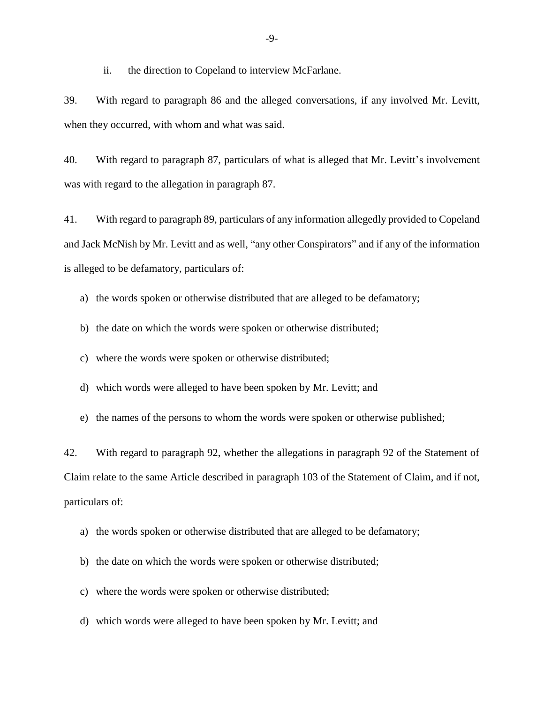ii. the direction to Copeland to interview McFarlane.

39. With regard to paragraph 86 and the alleged conversations, if any involved Mr. Levitt, when they occurred, with whom and what was said.

40. With regard to paragraph 87, particulars of what is alleged that Mr. Levitt's involvement was with regard to the allegation in paragraph 87.

41. With regard to paragraph 89, particulars of any information allegedly provided to Copeland and Jack McNish by Mr. Levitt and as well, "any other Conspirators" and if any of the information is alleged to be defamatory, particulars of:

a) the words spoken or otherwise distributed that are alleged to be defamatory;

b) the date on which the words were spoken or otherwise distributed;

c) where the words were spoken or otherwise distributed;

d) which words were alleged to have been spoken by Mr. Levitt; and

e) the names of the persons to whom the words were spoken or otherwise published;

42. With regard to paragraph 92, whether the allegations in paragraph 92 of the Statement of Claim relate to the same Article described in paragraph 103 of the Statement of Claim, and if not, particulars of:

a) the words spoken or otherwise distributed that are alleged to be defamatory;

b) the date on which the words were spoken or otherwise distributed;

c) where the words were spoken or otherwise distributed;

d) which words were alleged to have been spoken by Mr. Levitt; and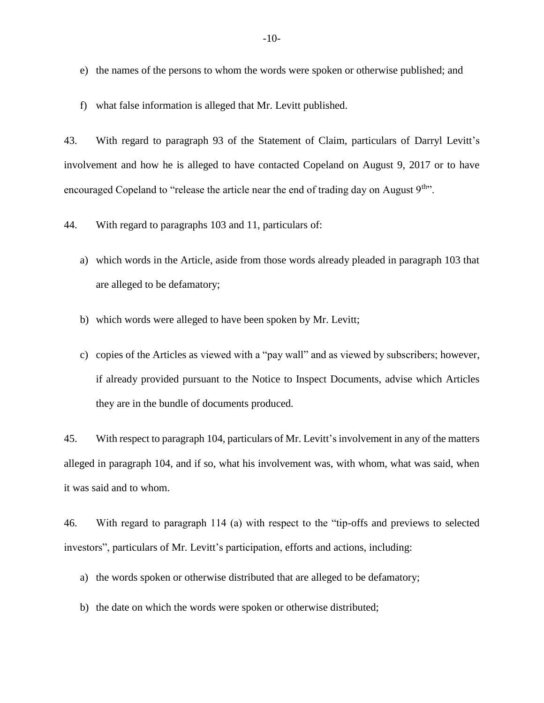- e) the names of the persons to whom the words were spoken or otherwise published; and
- f) what false information is alleged that Mr. Levitt published.

43. With regard to paragraph 93 of the Statement of Claim, particulars of Darryl Levitt's involvement and how he is alleged to have contacted Copeland on August 9, 2017 or to have encouraged Copeland to "release the article near the end of trading day on August  $9<sup>th</sup>$ ".

44. With regard to paragraphs 103 and 11, particulars of:

- a) which words in the Article, aside from those words already pleaded in paragraph 103 that are alleged to be defamatory;
- b) which words were alleged to have been spoken by Mr. Levitt;
- c) copies of the Articles as viewed with a "pay wall" and as viewed by subscribers; however, if already provided pursuant to the Notice to Inspect Documents, advise which Articles they are in the bundle of documents produced.

45. With respect to paragraph 104, particulars of Mr. Levitt's involvement in any of the matters alleged in paragraph 104, and if so, what his involvement was, with whom, what was said, when it was said and to whom.

46. With regard to paragraph 114 (a) with respect to the "tip-offs and previews to selected investors", particulars of Mr. Levitt's participation, efforts and actions, including:

- a) the words spoken or otherwise distributed that are alleged to be defamatory;
- b) the date on which the words were spoken or otherwise distributed;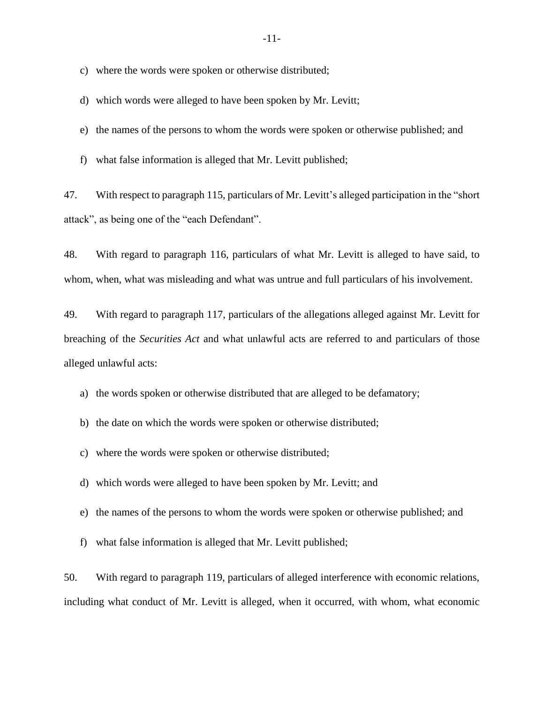c) where the words were spoken or otherwise distributed;

- d) which words were alleged to have been spoken by Mr. Levitt;
- e) the names of the persons to whom the words were spoken or otherwise published; and
- f) what false information is alleged that Mr. Levitt published;

47. With respect to paragraph 115, particulars of Mr. Levitt's alleged participation in the "short attack", as being one of the "each Defendant".

48. With regard to paragraph 116, particulars of what Mr. Levitt is alleged to have said, to whom, when, what was misleading and what was untrue and full particulars of his involvement.

49. With regard to paragraph 117, particulars of the allegations alleged against Mr. Levitt for breaching of the *Securities Act* and what unlawful acts are referred to and particulars of those alleged unlawful acts:

a) the words spoken or otherwise distributed that are alleged to be defamatory;

- b) the date on which the words were spoken or otherwise distributed;
- c) where the words were spoken or otherwise distributed;
- d) which words were alleged to have been spoken by Mr. Levitt; and
- e) the names of the persons to whom the words were spoken or otherwise published; and
- f) what false information is alleged that Mr. Levitt published;

50. With regard to paragraph 119, particulars of alleged interference with economic relations, including what conduct of Mr. Levitt is alleged, when it occurred, with whom, what economic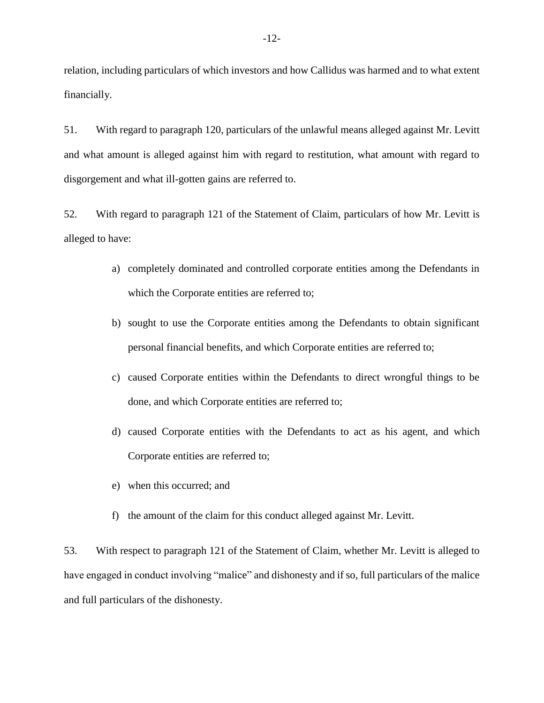relation, including particulars of which investors and how Callidus was harmed and to what extent financially.

51. With regard to paragraph 120, particulars of the unlawful means alleged against Mr. Levitt and what amount is alleged against him with regard to restitution, what amount with regard to disgorgement and what ill-gotten gains are referred to.

52. With regard to paragraph 121 of the Statement of Claim, particulars of how Mr. Levitt is alleged to have:

- a) completely dominated and controlled corporate entities among the Defendants in which the Corporate entities are referred to;
- b) sought to use the Corporate entities among the Defendants to obtain significant personal financial benefits, and which Corporate entities are referred to;
- c) caused Corporate entities within the Defendants to direct wrongful things to be done, and which Corporate entities are referred to;
- d) caused Corporate entities with the Defendants to act as his agent, and which Corporate entities are referred to;
- e) when this occurred; and
- f) the amount of the claim for this conduct alleged against Mr. Levitt.

53. With respect to paragraph 121 of the Statement of Claim, whether Mr. Levitt is alleged to have engaged in conduct involving "malice" and dishonesty and if so, full particulars of the malice and full particulars of the dishonesty.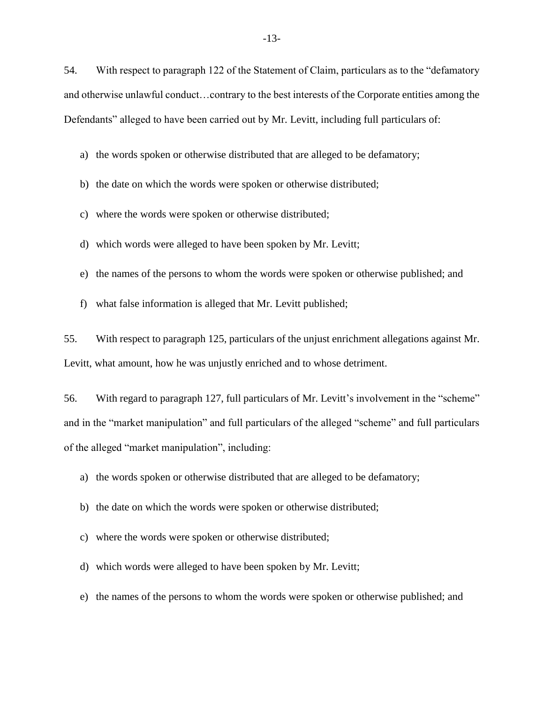54. With respect to paragraph 122 of the Statement of Claim, particulars as to the "defamatory and otherwise unlawful conduct…contrary to the best interests of the Corporate entities among the Defendants" alleged to have been carried out by Mr. Levitt, including full particulars of:

a) the words spoken or otherwise distributed that are alleged to be defamatory;

b) the date on which the words were spoken or otherwise distributed;

c) where the words were spoken or otherwise distributed;

d) which words were alleged to have been spoken by Mr. Levitt;

e) the names of the persons to whom the words were spoken or otherwise published; and

f) what false information is alleged that Mr. Levitt published;

55. With respect to paragraph 125, particulars of the unjust enrichment allegations against Mr. Levitt, what amount, how he was unjustly enriched and to whose detriment.

56. With regard to paragraph 127, full particulars of Mr. Levitt's involvement in the "scheme" and in the "market manipulation" and full particulars of the alleged "scheme" and full particulars of the alleged "market manipulation", including:

a) the words spoken or otherwise distributed that are alleged to be defamatory;

b) the date on which the words were spoken or otherwise distributed;

c) where the words were spoken or otherwise distributed;

d) which words were alleged to have been spoken by Mr. Levitt;

e) the names of the persons to whom the words were spoken or otherwise published; and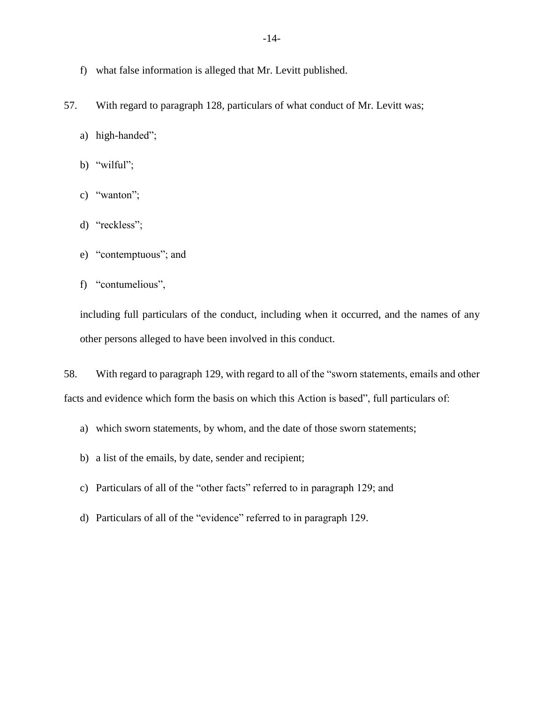- f) what false information is alleged that Mr. Levitt published.
- 57. With regard to paragraph 128, particulars of what conduct of Mr. Levitt was;
	- a) high-handed";
	- b) "wilful";
	- c) "wanton";
	- d) "reckless";
	- e) "contemptuous"; and
	- f) "contumelious",

including full particulars of the conduct, including when it occurred, and the names of any other persons alleged to have been involved in this conduct.

58. With regard to paragraph 129, with regard to all of the "sworn statements, emails and other facts and evidence which form the basis on which this Action is based", full particulars of:

- a) which sworn statements, by whom, and the date of those sworn statements;
- b) a list of the emails, by date, sender and recipient;
- c) Particulars of all of the "other facts" referred to in paragraph 129; and
- d) Particulars of all of the "evidence" referred to in paragraph 129.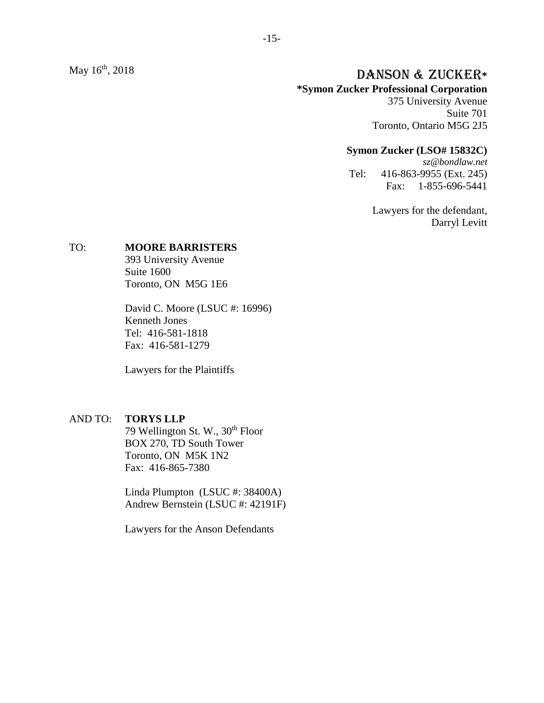May 16<sup>th</sup>, 2018

# th, 2018 DANSON & ZUCKER**\***

#### **\*Symon Zucker Professional Corporation**

375 University Avenue Suite 701 Toronto, Ontario M5G 2J5

#### **Symon Zucker (LSO# 15832C)**

*sz@bondlaw.net* Tel: 416-863-9955 (Ext. 245) Fax: 1-855-696-5441

> Lawyers for the defendant, Darryl Levitt

#### TO: **MOORE BARRISTERS**

393 University Avenue Suite 1600 Toronto, ON M5G 1E6

David C. Moore (LSUC #: 16996) Kenneth Jones Tel: 416-581-1818 Fax: 416-581-1279

Lawyers for the Plaintiffs

#### AND TO: **TORYS LLP**

79 Wellington St. W., 30<sup>th</sup> Floor BOX 270, TD South Tower Toronto, ON M5K 1N2 Fax: 416-865-7380

Linda Plumpton (LSUC #: 38400A) Andrew Bernstein (LSUC #: 42191F)

Lawyers for the Anson Defendants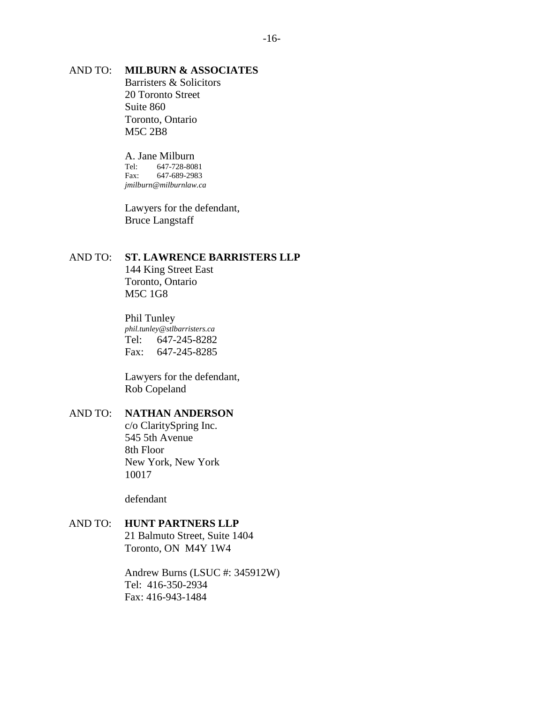### AND TO: **MILBURN & ASSOCIATES**

Barristers & Solicitors 20 Toronto Street Suite 860 Toronto, Ontario M5C 2B8

A. Jane Milburn Tel: 647-728-8081 Fax: 647-689-2983 *jmilburn@milburnlaw.ca*

Lawyers for the defendant, Bruce Langstaff

#### AND TO: **ST. LAWRENCE BARRISTERS LLP**

144 King Street East Toronto, Ontario M5C 1G8

Phil Tunley *phil.tunley@stlbarristers.ca* Tel: 647-245-8282 Fax: 647-245-8285

Lawyers for the defendant, Rob Copeland

#### AND TO: **NATHAN ANDERSON**

c/o ClaritySpring Inc. 545 5th Avenue 8th Floor New York, New York 10017

defendant

### AND TO: **HUNT PARTNERS LLP**

21 Balmuto Street, Suite 1404 Toronto, ON M4Y 1W4

Andrew Burns (LSUC #: 345912W) Tel: 416-350-2934 Fax: 416-943-1484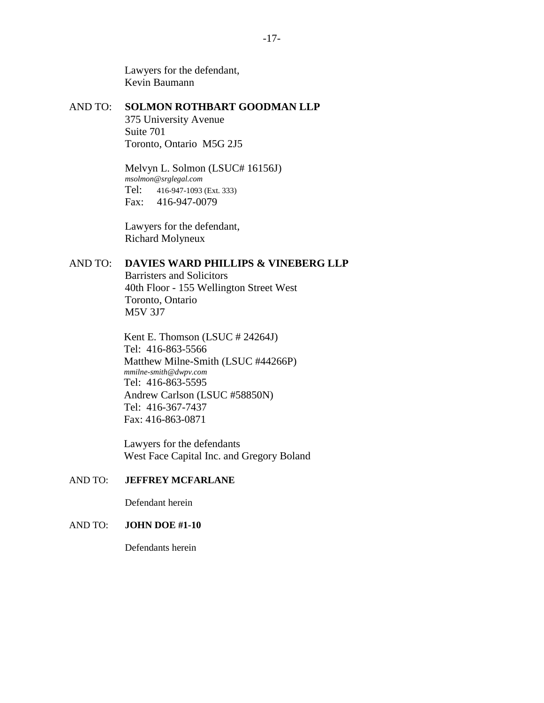Lawyers for the defendant, Kevin Baumann

#### AND TO: **SOLMON ROTHBART GOODMAN LLP**

375 University Avenue Suite 701 Toronto, Ontario M5G 2J5

Melvyn L. Solmon (LSUC# 16156J) *msolmon@srglegal.com* Tel: 416-947-1093 (Ext. 333) Fax: 416-947-0079

Lawyers for the defendant, Richard Molyneux

## AND TO: **DAVIES WARD PHILLIPS & VINEBERG LLP**

Barristers and Solicitors 40th Floor - 155 Wellington Street West Toronto, Ontario M5V 3J7

Kent E. Thomson (LSUC # 24264J) Tel: 416-863-5566 Matthew Milne-Smith (LSUC #44266P) *mmilne-smith@dwpv.com* Tel: 416-863-5595 Andrew Carlson (LSUC #58850N) Tel: 416-367-7437 Fax: 416-863-0871

Lawyers for the defendants West Face Capital Inc. and Gregory Boland

### AND TO: **JEFFREY MCFARLANE**

Defendant herein

### AND TO: **JOHN DOE #1-10**

Defendants herein